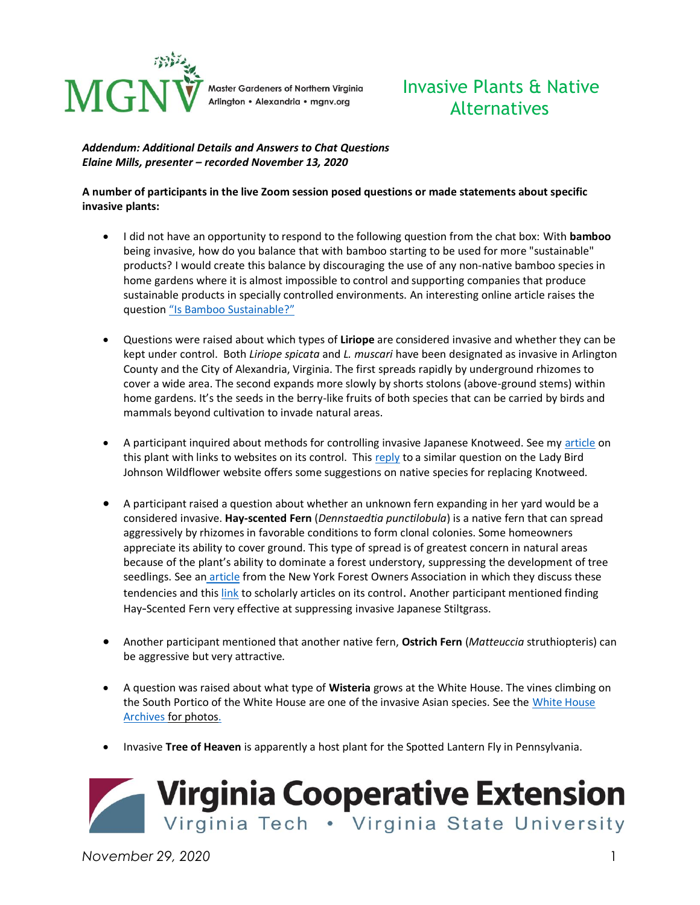

# Invasive Plants & Native Alternatives

#### *Addendum: Additional Details and Answers to Chat Questions Elaine Mills, presenter – recorded November 13, 2020*

#### **A number of participants in the live Zoom session posed questions or made statements about specific invasive plants:**

- I did not have an opportunity to respond to the following question from the chat box: With **bamboo** being invasive, how do you balance that with bamboo starting to be used for more "sustainable" products? I would create this balance by discouraging the use of any non-native bamboo species in home gardens where it is almost impossible to control and supporting companies that produce sustainable products in specially controlled environments. An interesting online article raises the question ["Is Bamboo Sustainable?"](https://www.ecoandbeyond.co/articles/is-bamboo-sustainable/)
- Questions were raised about which types of **Liriope** are considered invasive and whether they can be kept under control. Both *Liriope spicata* and *L. muscari* have been designated as invasive in Arlington County and the City of Alexandria, Virginia. The first spreads rapidly by underground rhizomes to cover a wide area. The second expands more slowly by shorts stolons (above-ground stems) within home gardens. It's the seeds in the berry-like fruits of both species that can be carried by birds and mammals beyond cultivation to invade natural areas.
- A participant inquired about methods for controlling invasive Japanese Knotweed. See my [article](https://mgnv.org/2020/02/24/invasive-plants-in-northern-virginiajapanese-knotweed/) on this plant with links to websites on its control. This [reply](https://www.wildflower.org/expert/show.php?id=9703) to a similar question on the Lady Bird Johnson Wildflower website offers some suggestions on native species for replacing Knotweed.
- A participant raised a question about whether an unknown fern expanding in her yard would be a considered invasive. **Hay-scented Fern** (*Dennstaedtia punctilobula*) is a native fern that can spread aggressively by rhizomes in favorable conditions to form clonal colonies. Some homeowners appreciate its ability to cover ground. This type of spread is of greatest concern in natural areas because of the plant's ability to dominate a forest understory, suppressing the development of tree seedlings. See an [article](https://www.nyfoa.org/application/files/7914/7983/8288/sac_2015_06_newsletter.pdf#:~:text=and%20Biological%20Invasions.-,Hay%2Dscented%20fern%20is%20considered%20a%20%E2%80%9Cnative%20invasive%E2%80%9D%20because,a%20forest%20under%20some%20conditions.) from the New York Forest Owners Association in which they discuss these tendencies and thi[s link](https://link.springer.com/article/10.1023/A:1010098316832) to scholarly articles on its control. Another participant mentioned finding Hay-Scented Fern very effective at suppressing invasive Japanese Stiltgrass.
- Another participant mentioned that another native fern, **Ostrich Fern** (*Matteuccia* struthiopteris) can be aggressive but very attractive.
- A question was raised about what type of **Wisteria** grows at the White House. The vines climbing on the South Portico of the White House are one of the invasive Asian species. See the [White House](https://georgewbush-whitehouse.archives.gov/history/grounds/garden/photoessays/spring2006/10.html)  [Archives](https://georgewbush-whitehouse.archives.gov/history/grounds/garden/photoessays/spring2006/10.html) for photos.
- Invasive **Tree of Heaven** is apparently a host plant for the Spotted Lantern Fly in Pennsylvania.



*November 29, 2020* 1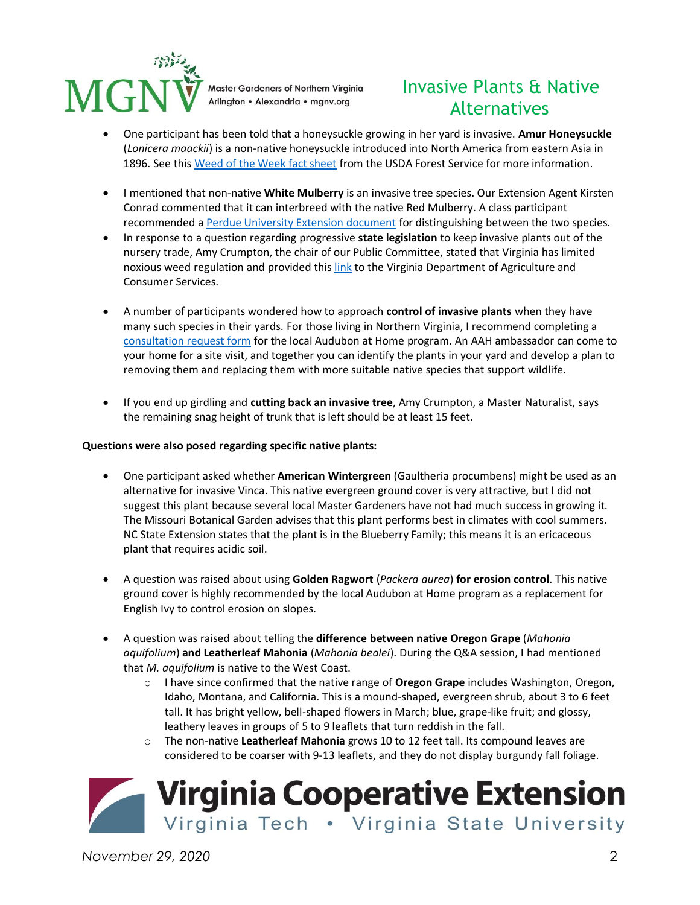

## Invasive Plants & Native Alternatives

- One participant has been told that a honeysuckle growing in her yard is invasive. **Amur Honeysuckle** (*Lonicera maackii*) is a non-native honeysuckle introduced into North America from eastern Asia in 1896. See this [Weed of the Week fact sheet](https://www.invasive.org/weedcd/pdfs/wow/amur-honeysuckle.pdf) from the USDA Forest Service for more information.
- I mentioned that non-native **White Mulberry** is an invasive tree species. Our Extension Agent Kirsten Conrad commented that it can interbreed with the native Red Mulberry. A class participant recommended [a Perdue University Extension document](https://www.extension.purdue.edu/extmedia/fnr/fnr_237.pdf) for distinguishing between the two species.
- In response to a question regarding progressive **state legislation** to keep invasive plants out of the nursery trade, Amy Crumpton, the chair of our Public Committee, stated that Virginia has limited noxious weed regulation and provided thi[s link](http://www.vdacs.virginia.gov/plant-industry-services-noxious-weeds.shtml) to the Virginia Department of Agriculture and Consumer Services.
- A number of participants wondered how to approach **control of invasive plants** when they have many such species in their yards. For those living in Northern Virginia, I recommend completing a [consultation request form](https://www.audubonva.org/aah-consultation-request-form) for the local Audubon at Home program. An AAH ambassador can come to your home for a site visit, and together you can identify the plants in your yard and develop a plan to removing them and replacing them with more suitable native species that support wildlife.
- If you end up girdling and **cutting back an invasive tree**, Amy Crumpton, a Master Naturalist, says the remaining snag height of trunk that is left should be at least 15 feet.

#### **Questions were also posed regarding specific native plants:**

- One participant asked whether **American Wintergreen** (Gaultheria procumbens) might be used as an alternative for invasive Vinca. This native evergreen ground cover is very attractive, but I did not suggest this plant because several local Master Gardeners have not had much success in growing it. The Missouri Botanical Garden advises that this plant performs best in climates with cool summers. NC State Extension states that the plant is in the Blueberry Family; this means it is an ericaceous plant that requires acidic soil.
- A question was raised about using **Golden Ragwort** (*Packera aurea*) **for erosion control**. This native ground cover is highly recommended by the local Audubon at Home program as a replacement for English Ivy to control erosion on slopes.
- A question was raised about telling the **difference between native Oregon Grape** (*Mahonia aquifolium*) **and Leatherleaf Mahonia** (*Mahonia bealei*). During the Q&A session, I had mentioned that *M. aquifolium* is native to the West Coast.
	- o I have since confirmed that the native range of **Oregon Grape** includes Washington, Oregon, Idaho, Montana, and California. This is a mound-shaped, evergreen shrub, about 3 to 6 feet tall. It has bright yellow, bell-shaped flowers in March; blue, grape-like fruit; and glossy, leathery leaves in groups of 5 to 9 leaflets that turn reddish in the fall.
	- o The non-native **Leatherleaf Mahonia** grows 10 to 12 feet tall. Its compound leaves are considered to be coarser with 9-13 leaflets, and they do not display burgundy fall foliage.



*November 29, 2020* 2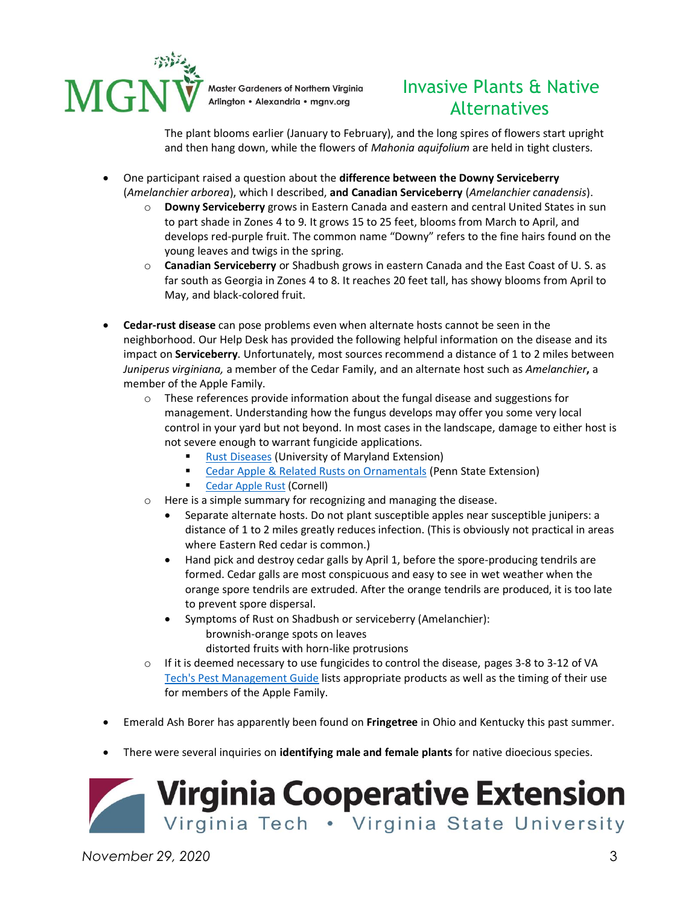

# Invasive Plants & Native Alternatives

The plant blooms earlier (January to February), and the long spires of flowers start upright and then hang down, while the flowers of *Mahonia aquifolium* are held in tight clusters.

- One participant raised a question about the **difference between the Downy Serviceberry** (*Amelanchier arborea*), which I described, **and Canadian Serviceberry** (*Amelanchier canadensis*).
	- o **Downy Serviceberry** grows in Eastern Canada and eastern and central United States in sun to part shade in Zones 4 to 9. It grows 15 to 25 feet, blooms from March to April, and develops red-purple fruit. The common name "Downy" refers to the fine hairs found on the young leaves and twigs in the spring.
	- o **Canadian Serviceberry** or Shadbush grows in eastern Canada and the East Coast of U. S. as far south as Georgia in Zones 4 to 8. It reaches 20 feet tall, has showy blooms from April to May, and black-colored fruit.
- **Cedar-rust disease** can pose problems even when alternate hosts cannot be seen in the neighborhood. Our Help Desk has provided the following helpful information on the disease and its impact on **Serviceberry**. Unfortunately, most sources recommend a distance of 1 to 2 miles between *Juniperus virginiana,* a member of the Cedar Family, and an alternate host such as *Amelanchier***,** a member of the Apple Family.
	- $\circ$  These references provide information about the fungal disease and suggestions for management. Understanding how the fungus develops may offer you some very local control in your yard but not beyond. In most cases in the landscape, damage to either host is not severe enough to warrant fungicide applications.
		- **[Rust Diseases](https://extension.umd.edu/hgic/topics/rust-diseases-trees) (University of Maryland Extension)**
		- [Cedar Apple & Related Rusts on Ornamentals](https://extension.psu.edu/cedar-apple-and-related-rusts-on-ornamentals) (Penn State Extension)
		- [Cedar Apple Rust](http://plantclinic.cornell.edu/factsheets/cedarapplerust.pdf) (Cornell)
	- o Here is a simple summary for recognizing and managing the disease.
		- Separate alternate hosts. Do not plant susceptible apples near susceptible junipers: a distance of 1 to 2 miles greatly reduces infection. (This is obviously not practical in areas where Eastern Red cedar is common.)
		- Hand pick and destroy cedar galls by April 1, before the spore-producing tendrils are formed. Cedar galls are most conspicuous and easy to see in wet weather when the orange spore tendrils are extruded. After the orange tendrils are produced, it is too late to prevent spore dispersal.
		- Symptoms of Rust on Shadbush or serviceberry (Amelanchier): brownish-orange spots on leaves distorted fruits with horn-like protrusions
	- $\circ$  If it is deemed necessary to use fungicides to control the disease, pages 3-8 to 3-12 of VA [Tech's Pest Management Guide](https://www.pubs.ext.vt.edu/content/dam/pubs_ext_vt_edu/456/456-018/ENTO-336.pdf) lists appropriate products as well as the timing of their use for members of the Apple Family.
- Emerald Ash Borer has apparently been found on **Fringetree** in Ohio and Kentucky this past summer.
- There were several inquiries on **identifying male and female plants** for native dioecious species.



*November 29, 2020* 3